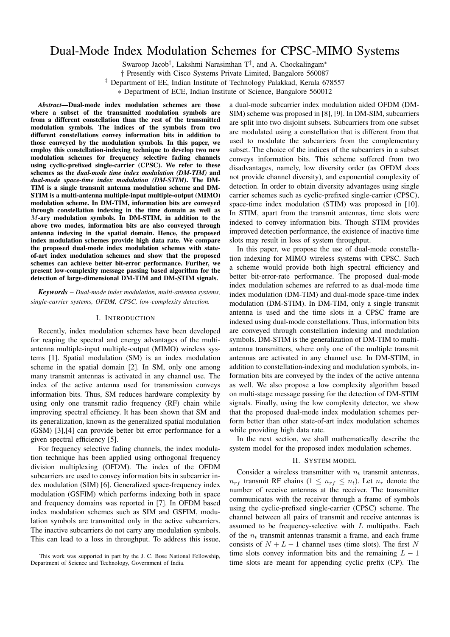# Dual-Mode Index Modulation Schemes for CPSC-MIMO Systems

Swaroop Jacob*†* , Lakshmi Narasimhan T*‡* , and A. Chockalingam*∗*

*†* Presently with Cisco Systems Private Limited, Bangalore 560087

*‡* Department of EE, Indian Institute of Technology Palakkad, Kerala 678557

*∗* Department of ECE, Indian Institute of Science, Bangalore 560012

*Abstract*—Dual-mode index modulation schemes are those where a subset of the transmitted modulation symbols are from a different constellation than the rest of the transmitted modulation symbols. The indices of the symbols from two different constellations convey information bits in addition to those conveyed by the modulation symbols. In this paper, we employ this constellation-indexing technique to develop two new modulation schemes for frequency selective fading channels using cyclic-prefixed single-carrier (CPSC). We refer to these schemes as the *dual-mode time index modulation (DM-TIM)* and *dual-mode space-time index modulation (DM-STIM)*. The DM-TIM is a single transmit antenna modulation scheme and DM-STIM is a multi-antenna multiple-input multiple-output (MIMO) modulation scheme. In DM-TIM, information bits are conveyed through constellation indexing in the time domain as well as *M*-ary modulation symbols. In DM-STIM, in addition to the above two modes, information bits are also conveyed through antenna indexing in the spatial domain. Hence, the proposed index modulation schemes provide high data rate. We compare the proposed dual-mode index modulation schemes with stateof-art index modulation schemes and show that the proposed schemes can achieve better bit-error performance. Further, we present low-complexity message passing based algorithm for the detection of large-dimensional DM-TIM and DM-STIM signals.

*Keywords* – *Dual-mode index modulation, multi-antenna systems, single-carrier systems, OFDM, CPSC, low-complexity detection.*

## I. INTRODUCTION

Recently, index modulation schemes have been developed for reaping the spectral and energy advantages of the multiantenna multiple-input multiple-output (MIMO) wireless systems [1]. Spatial modulation (SM) is an index modulation scheme in the spatial domain [2]. In SM, only one among many transmit antennas is activated in any channel use. The index of the active antenna used for transmission conveys information bits. Thus, SM reduces hardware complexity by using only one transmit radio frequency (RF) chain while improving spectral efficiency. It has been shown that SM and its generalization, known as the generalized spatial modulation (GSM) [3],[4] can provide better bit error performance for a given spectral efficiency [5].

For frequency selective fading channels, the index modulation technique has been applied using orthogonal frequency division multiplexing (OFDM). The index of the OFDM subcarriers are used to convey information bits in subcarrier index modulation (SIM) [6]. Generalized space-frequency index modulation (GSFIM) which performs indexing both in space and frequency domains was reported in [7]. In OFDM based index modulation schemes such as SIM and GSFIM, modulation symbols are transmitted only in the active subcarriers. The inactive subcarriers do not carry any modulation symbols. This can lead to a loss in throughput. To address this issue,

a dual-mode subcarrier index modulation aided OFDM (DM-SIM) scheme was proposed in [8], [9]. In DM-SIM, subcarriers are split into two disjoint subsets. Subcarriers from one subset are modulated using a constellation that is different from that used to modulate the subcarriers from the complementary subset. The choice of the indices of the subcarriers in a subset conveys information bits. This scheme suffered from two disadvantages, namely, low diversity order (as OFDM does not provide channel diversity), and exponential complexity of detection. In order to obtain diversity advantages using single carrier schemes such as cyclic-prefixed single-carrier (CPSC), space-time index modulation (STIM) was proposed in [10]. In STIM, apart from the transmit antennas, time slots were indexed to convey information bits. Though STIM provides improved detection performance, the existence of inactive time slots may result in loss of system throughput.

In this paper, we propose the use of dual-mode constellation indexing for MIMO wireless systems with CPSC. Such a scheme would provide both high spectral efficiency and better bit-error-rate performance. The proposed dual-mode index modulation schemes are referred to as dual-mode time index modulation (DM-TIM) and dual-mode space-time index modulation (DM-STIM). In DM-TIM, only a single transmit antenna is used and the time slots in a CPSC frame are indexed using dual-mode constellations. Thus, information bits are conveyed through constellation indexing and modulation symbols. DM-STIM is the generalization of DM-TIM to multiantenna transmitters, where only one of the multiple transmit antennas are activated in any channel use. In DM-STIM, in addition to constellation-indexing and modulation symbols, information bits are conveyed by the index of the active antenna as well. We also propose a low complexity algorithm based on multi-stage message passing for the detection of DM-STIM signals. Finally, using the low complexity detector, we show that the proposed dual-mode index modulation schemes perform better than other state-of-art index modulation schemes while providing high data rate.

In the next section, we shall mathematically describe the system model for the proposed index modulation schemes.

#### II. SYSTEM MODEL

Consider a wireless transmitter with  $n_t$  transmit antennas,  $n_{rf}$  transmit RF chains (1  $\leq n_{rf} \leq n_t$ ). Let  $n_r$  denote the number of receive antennas at the receiver. The transmitter communicates with the receiver through a frame of symbols using the cyclic-prefixed single-carrier (CPSC) scheme. The channel between all pairs of transmit and receive antennas is assumed to be frequency-selective with *L* multipaths. Each of the  $n_t$  transmit antennas transmit a frame, and each frame consists of  $N + L - 1$  channel uses (time slots). The first N time slots convey information bits and the remaining *L −* 1 time slots are meant for appending cyclic prefix (CP). The

This work was supported in part by the J. C. Bose National Fellowship, Department of Science and Technology, Government of India.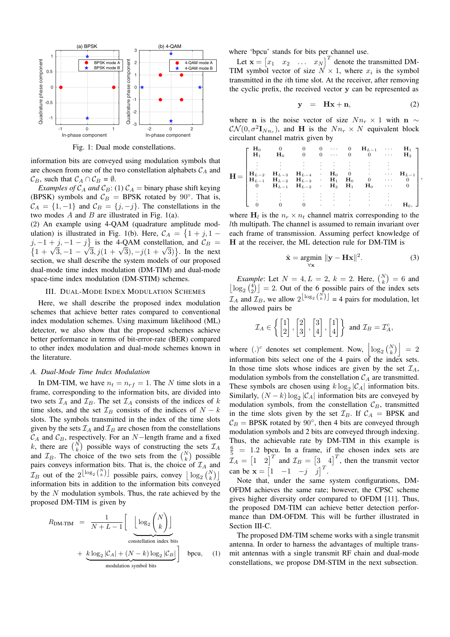

Fig. 1: Dual mode constellations.

information bits are conveyed using modulation symbols that are chosen from one of the two constellation alphabets *C<sup>A</sup>* and  $C_B$ , such that  $C_A \cap C_B = \emptyset$ .

*Examples of*  $C_A$  *and*  $C_B$ : (1)  $C_A$  = binary phase shift keying (BPSK) symbols and  $C_B = BPSK$  rotated by 90<sup>°</sup>. That is,  $C_A = \{1, -1\}$  and  $C_B = \{j, -j\}$ . The constellations in the two modes *A* and *B* are illustrated in Fig. 1(a).

(2) An example using 4-QAM (quadrature amplitude modulation) is illustrated in Fig. 1(b). Here,  $C_A = \{1 + j, 1 - j\}$  $j, -1 + j, -1 - j$ } is the 4-QAM constellation, and  $C_B = \{1 + \sqrt{3}, -1 - \sqrt{3}, i(1 + \sqrt{3}), -i(1 + \sqrt{3})\}$ . In the next  $1 + \sqrt{3}$ ,  $-1 - \sqrt{3}$ , *j*(1 +  $\sqrt{3}$ ),  $-j(1 + \sqrt{3})$ . In the next section, we shall describe the system models of our proposed dual-mode time index modulation (DM-TIM) and dual-mode space-time index modulation (DM-STIM) schemes.

#### III. DUAL-MODE INDEX MODULATION SCHEMES

Here, we shall describe the proposed index modulation schemes that achieve better rates compared to conventional index modulation schemes. Using maximum likelihood (ML) detector, we also show that the proposed schemes achieve better performance in terms of bit-error-rate (BER) compared to other index modulation and dual-mode schemes known in the literature.

## *A. Dual-Mode Time Index Modulation*

In DM-TIM, we have  $n_t = n_{rf} = 1$ . The *N* time slots in a frame, corresponding to the information bits, are divided into two sets  $\mathcal{I}_A$  and  $\mathcal{I}_B$ . The set  $\mathcal{I}_A$  consists of the indices of *k* time slots, and the set  $\mathcal{I}_B$  consists of the indices of  $N - k$ slots. The symbols transmitted in the index of the time slots given by the sets  $\mathcal{I}_A$  and  $\mathcal{I}_B$  are chosen from the constellations *C<sup>A</sup>* and *CB*, respectively. For an *N−*length frame and a fixed k, there are  $\binom{\tilde{N}}{k}$  possible ways of constructing the sets  $\mathcal{I}_A$ and  $\mathcal{I}_B$ . The choice of the two sets from the  $\binom{N}{k}$  possible pairs conveys information bits. That is, the choice of *I<sup>A</sup>* and  $\mathcal{I}_B$  out of the  $2^{\lfloor \log_2 {N \choose k} \rfloor}$  possible pairs, convey  $\lfloor \log_2 {N \choose k} \rfloor$ information bits in addition to the information bits conveyed by the *N* modulation symbols. Thus, the rate achieved by the proposed DM-TIM is given by

$$
R_{\text{DM-TIM}} = \frac{1}{N + L - 1} \left[ \underbrace{\lfloor \log_2 \binom{N}{k} \rfloor}_{\text{constellation index bits}} + \underbrace{k \log_2 |\mathcal{C}_A| + (N - k) \log_2 |\mathcal{C}_B|}_{\text{modulation symbol bits}} \right] \text{ bpcu}, \quad (1)
$$

where 'bpcu' stands for bits per channel use.

Let  $\mathbf{x} = \begin{bmatrix} x_1 & x_2 & \dots & x_N \end{bmatrix}^T$  denote the transmitted DM-TIM symbol vector of size  $N \times 1$ , where  $x_i$  is the symbol transmitted in the *i*th time slot. At the receiver, after removing the cyclic prefix, the received vector **y** can be represented as

$$
y = Hx + n, \qquad (2)
$$

where **n** is the noise vector of size  $Nn_r \times 1$  with **n**  $\sim$  $\mathcal{CN}(0, \sigma^2 \mathbf{I}_{Nn_r})$ , and **H** is the  $Nn_r \times N$  equivalent block circulant channel matrix given by

$$
\mathbf{H} = \begin{bmatrix} \mathbf{H}_0 & 0 & 0 & 0 & \cdots & 0 & \mathbf{H}_{L-1} & \cdots & \mathbf{H}_1 \\ \mathbf{H}_1 & \mathbf{H}_0 & 0 & 0 & \cdots & 0 & 0 & \cdots & \mathbf{H}_2 \\ \vdots & \vdots & \vdots & \vdots & \vdots & \vdots & \vdots & \vdots \\ \mathbf{H}_{L-2} & \mathbf{H}_{L-3} & \mathbf{H}_{L-4} & \cdots & \mathbf{H}_0 & 0 & \cdots & \mathbf{H}_{L-1} \\ \mathbf{H}_{L-1} & \mathbf{H}_{L-2} & \mathbf{H}_{L-3} & \cdots & \mathbf{H}_1 & \mathbf{H}_0 & 0 & \cdots & 0 \\ 0 & \mathbf{H}_{L-1} & \mathbf{H}_{L-2} & \cdots & \mathbf{H}_2 & \mathbf{H}_1 & \mathbf{H}_0 & \cdots & 0 \\ \vdots & \vdots & \vdots & \vdots & \vdots & \vdots & \vdots & \vdots & \vdots \\ 0 & 0 & 0 & \cdots & \cdots & \cdots & \mathbf{H}_0, \end{bmatrix},
$$

where  $\mathbf{H}_l$  is the  $n_r \times n_t$  channel matrix corresponding to the *l*th multipath. The channel is assumed to remain invariant over each frame of transmission. Assuming perfect knowledge of **H** at the receiver, the ML detection rule for DM-TIM is

$$
\hat{\mathbf{x}} = \underset{\forall \mathbf{x}}{\text{argmin}} \ \|\mathbf{y} - \mathbf{H}\mathbf{x}\|^2. \tag{3}
$$

*Example*: Let  $N = 4, L = 2, k = 2$ . Here,  $\binom{N}{k} = 6$  and  $\lfloor \log_2 \binom{4}{2} \rfloor = 2$ . Out of the 6 possible pairs of the index sets  $\overline{\mathcal{I}}_A$  and  $\overline{\mathcal{I}}_B$ , we allow  $2^{\lfloor \log_2 {N \choose k} \rfloor} = 4$  pairs for modulation, let the allowed pairs be

$$
\mathcal{I}_A \in \left\{ \begin{bmatrix} 1 \\ 2 \end{bmatrix}, \begin{bmatrix} 2 \\ 3 \end{bmatrix}, \begin{bmatrix} 3 \\ 4 \end{bmatrix}, \begin{bmatrix} 1 \\ 4 \end{bmatrix} \right\} \text{ and } \mathcal{I}_B = \mathcal{I}_A^c,
$$

where (.)<sup>c</sup> denotes set complement. Now,  $\left| \log_2 {\binom{N}{k}} \right| = 2$ information bits select one of the 4 pairs of the index sets. In those time slots whose indices are given by the set  $\mathcal{I}_A$ , modulation symbols from the constellation  $C_A$  are transmitted. These symbols are chosen using  $k \log_2 |C_A|$  information bits. Similarly,  $(N - k) \log_2 |\mathcal{C}_A|$  information bits are conveyed by modulation symbols, from the constellation  $\mathcal{C}_B$ , transmitted in the time slots given by the set  $\mathcal{I}_B$ . If  $\mathcal{C}_A$  = BPSK and  $C_B$  = BPSK rotated by  $90^\circ$ , then 4 bits are conveyed through modulation symbols and 2 bits are conveyed through indexing. Thus, the achievable rate by DM-TIM in this example is  $\frac{6}{5}$  = 1.2 bpcu. In a frame, if the chosen index sets are  $\mathcal{I}_A = \begin{bmatrix} 1 & 2 \end{bmatrix}^T$  and  $\mathcal{I}_B = \begin{bmatrix} 3 & 4 \end{bmatrix}^T$ , then the transmit vector can be  $\mathbf{x} = \begin{bmatrix} 1 & -1 & -j \end{bmatrix}^T$ .

Note that, under the same system configurations, DM-OFDM achieves the same rate; however, the CPSC scheme gives higher diversity order compared to OFDM [11]. Thus, the proposed DM-TIM can achieve better detection performance than DM-OFDM. This will be further illustrated in Section III-C.

The proposed DM-TIM scheme works with a single transmit antenna. In order to harness the advantages of multiple transmit antennas with a single transmit RF chain and dual-mode constellations, we propose DM-STIM in the next subsection.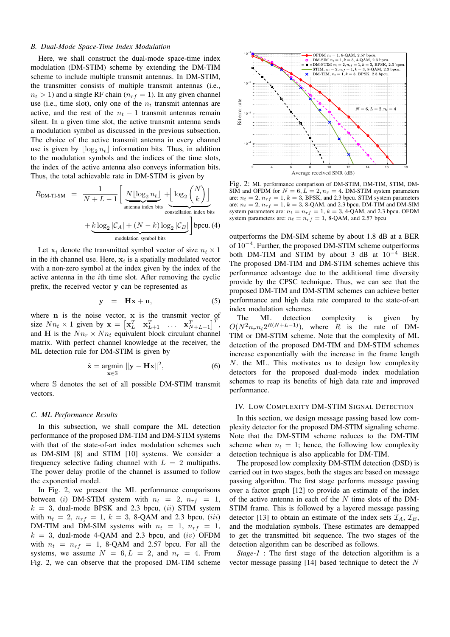# *B. Dual-Mode Space-Time Index Modulation*

Here, we shall construct the dual-mode space-time index modulation (DM-STIM) scheme by extending the DM-TIM scheme to include multiple transmit antennas. In DM-STIM, the transmitter consists of multiple transmit antennas (i.e.,  $n_t$  > 1) and a single RF chain ( $n_{rf}$  = 1). In any given channel use (i.e., time slot), only one of the  $n_t$  transmit antennas are active, and the rest of the  $n_t - 1$  transmit antennas remain silent. In a given time slot, the active transmit antenna sends a modulation symbol as discussed in the previous subsection. The choice of the active transmit antenna in every channel use is given by  $\log_2 n_t$  information bits. Thus, in addition to the modulation symbols and the indices of the time slots, the index of the active antenna also conveys information bits. Thus, the total achievable rate in DM-STIM is given by

$$
R_{\text{DM-TI-SM}} = \frac{1}{N + L - 1} \left[ \underbrace{N \lfloor \log_2 n_t \rfloor}_{\text{antenna index bits}} + \underbrace{\lfloor \log_2 {N \choose k} \rfloor}_{\text{constellation index bits}} + \underbrace{k \log_2 |\mathcal{C}_A| + (N - k) \log_2 |\mathcal{C}_B|}_{\text{modulation symbol bits}} \right]
$$

Let  $\mathbf{x}_i$  denote the transmitted symbol vector of size  $n_t \times 1$ in the *i*th channel use. Here, **x***<sup>i</sup>* is a spatially modulated vector with a non-zero symbol at the index given by the index of the active antenna in the *i*th time slot. After removing the cyclic prefix, the received vector **y** can be represented as

$$
y = Hx + n,\t(5)
$$

where **n** is the noise vector, **x** is the transmit vector of size  $Nn_t \times 1$  given by  $\mathbf{x} = \begin{bmatrix} \mathbf{x}_L^T & \mathbf{x}_{L+1}^T & \dots & \mathbf{x}_{N+L-1}^T \end{bmatrix}^T$ , and **H** is the  $Nn_r \times Nn_t$  equivalent block circulant channel matrix. With perfect channel knowledge at the receiver, the ML detection rule for DM-STIM is given by

$$
\hat{\mathbf{x}} = \underset{\mathbf{x} \in \mathbb{S}}{\operatorname{argmin}} \ \|\mathbf{y} - \mathbf{H}\mathbf{x}\|^2, \tag{6}
$$

where S denotes the set of all possible DM-STIM transmit vectors.

#### *C. ML Performance Results*

In this subsection, we shall compare the ML detection performance of the proposed DM-TIM and DM-STIM systems with that of the state-of-art index modulation schemes such as DM-SIM [8] and STIM [10] systems. We consider a frequency selective fading channel with  $L = 2$  multipaths. The power delay profile of the channel is assumed to follow the exponential model.

In Fig. 2, we present the ML performance comparisons between (*i*) DM-STIM system with  $n_t = 2$ ,  $n_{rf} = 1$ ,  $k = 3$ , dual-mode BPSK and 2.3 bpcu, (*ii*) STIM system with  $n_t = 2$ ,  $n_{rf} = 1$ ,  $k = 3$ , 8-QAM and 2.3 bpcu, *(iii)* DM-TIM and DM-SIM systems with  $n_t = 1$ ,  $n_{rf} = 1$ ,  $k = 3$ , dual-mode 4-QAM and 2.3 bpcu, and  $(iv)$  OFDM with  $n_t = n_{rf} = 1$ , 8-QAM and 2.57 bpcu. For all the systems, we assume  $N = 6, L = 2$ , and  $n_r = 4$ . From Fig. 2, we can observe that the proposed DM-TIM scheme



Fig. 2: ML performance comparison of DM-STIM, DM-TIM, STIM, DM-SIM and OFDM for  $N = 6, L = 2, n<sub>r</sub> = 4$ . DM-STIM system parameters are:  $n_t = 2$ ,  $n_{rf} = 1$ ,  $k = 3$ , BPSK, and 2.3 bpcu. STIM system parameters are:  $n_t = 2$ ,  $n_{rf} = 1$ ,  $k = 3$ , 8-QAM, and 2.3 bpcu. DM-TIM and DM-SIM system parameters are:  $n_t = n_{rf} = 1$ ,  $k = 3$ , 4-QAM, and 2.3 bpcu. OFDM system parameters are:  $n_t = n_{rf} = 1$ , 8-QAM, and 2.57 bpcu

outperforms the DM-SIM scheme by about 1.8 dB at a BER of 10*−*<sup>4</sup> . Further, the proposed DM-STIM scheme outperforms both DM-TIM and STIM by about 3 dB at 10*−*<sup>4</sup> BER. The proposed DM-TIM and DM-STIM schemes achieve this performance advantage due to the additional time diversity provide by the CPSC technique. Thus, we can see that the proposed DM-TIM and DM-STIM schemes can achieve better performance and high data rate compared to the state-of-art index modulation schemes.

The ML detection complexity is given by  $O(N^2 n_r n_t 2^{R(N+L-1)})$ , where *R* is the rate of DM-TIM or DM-STIM scheme. Note that the complexity of ML detection of the proposed DM-TIM and DM-STIM schemes increase exponentially with the increase in the frame length *N*. the ML. This motivates us to design low complexity detectors for the proposed dual-mode index modulation schemes to reap its benefits of high data rate and improved performance.

### IV. LOW COMPLEXITY DM-STIM SIGNAL DETECTION

In this section, we design message passing based low complexity detector for the proposed DM-STIM signaling scheme. Note that the DM-STIM scheme reduces to the DM-TIM scheme when  $n_t = 1$ ; hence, the following low complexity detection technique is also applicable for DM-TIM.

The proposed low complexity DM-STIM detection (DSD) is carried out in two stages, both the stages are based on message passing algorithm. The first stage performs message passing over a factor graph [12] to provide an estimate of the index of the active antenna in each of the *N* time slots of the DM-STIM frame. This is followed by a layered message passing detector [13] to obtain an estimate of the index sets  $\mathcal{I}_A$ ,  $\mathcal{I}_B$ , and the modulation symbols. These estimates are demapped to get the transmitted bit sequence. The two stages of the detection algorithm can be described as follows.

*Stage-1* : The first stage of the detection algorithm is a vector message passing [14] based technique to detect the *N*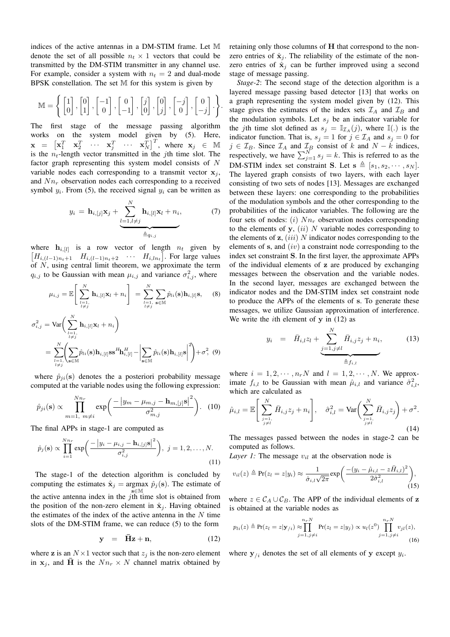indices of the active antennas in a DM-STIM frame. Let M denote the set of all possible  $n_t \times 1$  vectors that could be transmitted by the DM-STIM transmitter in any channel use. For example, consider a system with  $n_t = 2$  and dual-mode BPSK constellation. The set M for this system is given by

$$
\mathbb{M} = \left\{ \begin{bmatrix} 1 \\ 0 \end{bmatrix}, \begin{bmatrix} 0 \\ 1 \end{bmatrix}, \begin{bmatrix} -1 \\ 0 \end{bmatrix}, \begin{bmatrix} 0 \\ -1 \end{bmatrix}, \begin{bmatrix} j \\ 0 \end{bmatrix}, \begin{bmatrix} 0 \\ j \end{bmatrix}, \begin{bmatrix} -j \\ 0 \end{bmatrix}, \begin{bmatrix} 0 \\ -j \end{bmatrix} \right\}.
$$

The first stage of the message passing algorithm works on the system model given by (5). Here,  $\mathbf{x} = \begin{bmatrix} \mathbf{x}_1^T & \mathbf{x}_2^T & \cdots & \mathbf{x}_j^T \end{bmatrix}^T$ , where  $\mathbf{x}_j \in \mathbb{M}$ is the  $n_t$ -length vector transmitted in the *j*th time slot. The factor graph representing this system model consists of *N* variable nodes each corresponding to a transmit vector  $\mathbf{x}_i$ , and *Nn<sup>r</sup>* observation nodes each corresponding to a received symbol  $y_i$ . From (5), the received signal  $y_i$  can be written as

$$
y_i = \mathbf{h}_{i,[j]}\mathbf{x}_j + \underbrace{\sum_{l=1,l\neq j}^{N} \mathbf{h}_{i,[l]}\mathbf{x}_l + n_i}_{\triangleq q_{i,j}},
$$
 (7)

where  $\mathbf{h}_{i,[l]}$  is a row vector of length  $n_t$  given by [ $H_{i,(l-1)n_t+1}$   $H_{i,(l-1)n_t+2}$   $\cdots$   $H_{i,ln_t}$ ]. For large values of *N*, using central limit theorem, we approximate the term  $q_{i,j}$  to be Gaussian with mean  $\mu_{i,j}$  and variance  $\sigma_{i,j}^2$ , where

$$
\mu_{i,j} = \mathbb{E}\left[\sum_{\substack{l=1,\\l \neq j}}^N \mathbf{h}_{i,[l]} \mathbf{x}_l + n_i\right] = \sum_{\substack{l=1,\\l \neq j}}^N \sum_{\mathbf{s} \in \mathbb{M}} \hat{p}_{li}(\mathbf{s}) \mathbf{h}_{i,[l]} \mathbf{s}, \quad (8)
$$

$$
\sigma_{i,j}^2 = \text{Var}\left(\sum_{l=1}^N \mathbf{h}_{i,[l]} \mathbf{x}_l + n_i\right)
$$

$$
\sum_{\substack{l=1,\\l\neq j}}^{N} \left( \sum_{\substack{i=1,\\i\neq j}} \hat{p}_{li}(\mathbf{s}) \mathbf{h}_{i,[l]} \mathbf{s} \mathbf{s}^{H} \mathbf{h}_{i,[l]}^{H} - \left| \sum_{\mathbf{s}\in \mathbb{M}} \hat{p}_{li}(\mathbf{s}) \mathbf{h}_{i,[l]} \mathbf{s} \right|^{2} \right) + \sigma^{2}, \quad (9)
$$

where  $\hat{p}_{ji}(\mathbf{s})$  denotes the a posteriori probability message computed at the variable nodes using the following expression:

$$
\hat{p}_{ji}(\mathbf{s}) \propto \prod_{m=1, m \neq i}^{Nn_r} \exp\bigg(\frac{-\left|y_m - \mu_{m,j} - \mathbf{h}_{m,[j]}\mathbf{s}\right|^2}{\sigma_{m,j}^2}\bigg). \quad (10)
$$

The final APPs in stage-1 are computed as

$$
\hat{p}_j(\mathbf{s}) \propto \prod_{i=1}^{Nn_r} \exp\bigg(\frac{-|y_i - \mu_{i,j} - \mathbf{h}_{i,[j]}\mathbf{s}|^2}{\sigma_{i,j}^2}\bigg), \ j = 1, 2, \dots, N. \tag{11}
$$

The stage-1 of the detection algorithm is concluded by computing the estimates  $\hat{\mathbf{x}}_j = \text{argmax } \hat{p}_j(\mathbf{s})$ . The estimate of **s***∈*M the active antenna index in the *j*th time slot is obtained from the position of the non-zero element in  $\hat{\mathbf{x}}_i$ . Having obtained the estimates of the index of the active antenna in the *N* time slots of the DM-STIM frame, we can reduce (5) to the form

$$
y = \bar{H}z + n, \qquad (12)
$$

where **z** is an  $N \times 1$  vector such that  $z_j$  is the non-zero element in  $\mathbf{x}_i$ , and  $\overline{\mathbf{H}}$  is the  $Nn_r \times N$  channel matrix obtained by retaining only those columns of **H** that correspond to the nonzero entries of  $\hat{\mathbf{x}}_j$ . The reliability of the estimate of the nonzero entries of  $\hat{\mathbf{x}}_j$  can be further improved using a second stage of message passing.

*Stage-2*: The second stage of the detection algorithm is a layered message passing based detector [13] that works on a graph representing the system model given by (12). This stage gives the estimates of the index sets  $\mathcal{I}_A$  and  $\mathcal{I}_B$  and the modulation symbols. Let  $s_j$  be an indicator variable for the *j*th time slot defined as  $s_j = \mathbb{I}_{\mathcal{I}_A}(j)$ , where  $\mathbb{I}(.)$  is the indicator function. That is,  $s_j = 1$  for  $j \in \mathcal{I}_A$  and  $s_j = 0$  for  $j \in \mathcal{I}_B$ . Since  $\mathcal{I}_A$  and  $\mathcal{I}_B$  consist of *k* and  $N - k$  indices, respectively, we have  $\sum_{j=1}^{N} s_j = k$ . This is referred to as the DM-STIM index set constraint **S**. Let  $\mathbf{s} \triangleq [s_1, s_2, \cdots, s_N].$ The layered graph consists of two layers, with each layer consisting of two sets of nodes [13]. Messages are exchanged between these layers: one corresponding to the probabilities of the modulation symbols and the other corresponding to the probabilities of the indicator variables. The following are the four sets of nodes: (*i*) *Nn<sup>r</sup>* observation nodes corresponding to the elements of **y**, (*ii*) *N* variable nodes corresponding to the elements of **z**, (*iii*) *N* indicator nodes corresponding to the elements of **s**, and (*iv*) a constraint node corresponding to the index set constraint **S**. In the first layer, the approximate APPs of the individual elements of **z** are produced by exchanging messages between the observation and the variable nodes. In the second layer, messages are exchanged between the indicator nodes and the DM-STIM index set constraint node to produce the APPs of the elements of **s**. To generate these messages, we utilize Gaussian approximation of interference. We write the *i*th element of **y** in (12) as

$$
y_i = \bar{H}_{i,l} z_l + \underbrace{\sum_{j=1,j \neq l}^{N} \bar{H}_{i,j} z_j + n_i}_{\triangleq f_{i,l}}, \quad (13)
$$

where  $i = 1, 2, \cdots, n_rN$  and  $l = 1, 2, \cdots, N$ . We approximate  $f_{i,l}$  to be Gaussian with mean  $\hat{\mu}_{i,l}$  and variance  $\hat{\sigma}_{i,l}^2$ , which are calculated as

$$
\hat{\mu}_{i,l} = \mathbb{E}\left[\sum_{\substack{j=1,\\j\neq l}}^N \bar{H}_{i,j} z_j + n_i\right], \quad \hat{\sigma}_{i,l}^2 = \text{Var}\left(\sum_{\substack{j=1,\\j\neq l}}^N \bar{H}_{i,j} z_j\right) + \sigma^2.
$$
\n(14)

The messages passed between the nodes in stage-2 can be computed as follows.

*Layer 1:* The message  $v_{il}$  at the observation node is

$$
v_{il}(z) \triangleq \Pr(z_l = z | y_i) \approx \frac{1}{\hat{\sigma}_{i,l}\sqrt{2\pi}} \exp\left(\frac{-(y_i - \hat{\mu}_{i,l} - z\bar{H}_{i,l})^2}{2\hat{\sigma}_{i,l}^2}\right),\tag{15}
$$

where  $z \in C_A \cup C_B$ . The APP of the individual elements of **z** is obtained at the variable nodes as

$$
p_{li}(z) \triangleq \Pr(z_l = z | \mathbf{y}_{/i}) \approx \prod_{j=1, j \neq i}^{n_r N} \Pr(z_l = z | y_j) \propto u_l(z^0) \prod_{j=1, j \neq i}^{n_r N} v_{jl}(z),
$$
\n(16)

where  $y_{i}$  denotes the set of all elements of y except  $y_{i}$ .